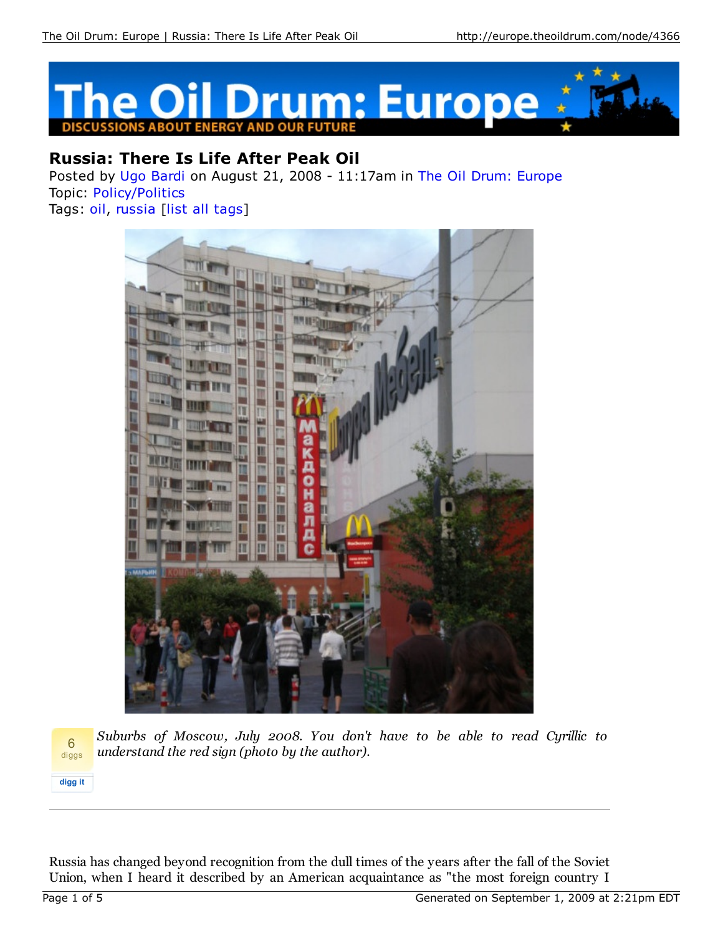

## **Russia: There Is Life After Peak Oil**

Posted by Ugo Bardi on August 21, 2008 - 11:17am in The Oil Drum: Europe Topic: Policy/Politics Tags: oil, russia [list all tags]



**digg it** 6 diggs

*Suburbs of Moscow, July 2008. You don't have to be able to read Cyrillic to understand the red sign (photo by the author).*

Russia has changed beyond recognition from the dull times of the years after the fall of the Soviet Union, when I heard it described by an American acquaintance as "the most foreign country I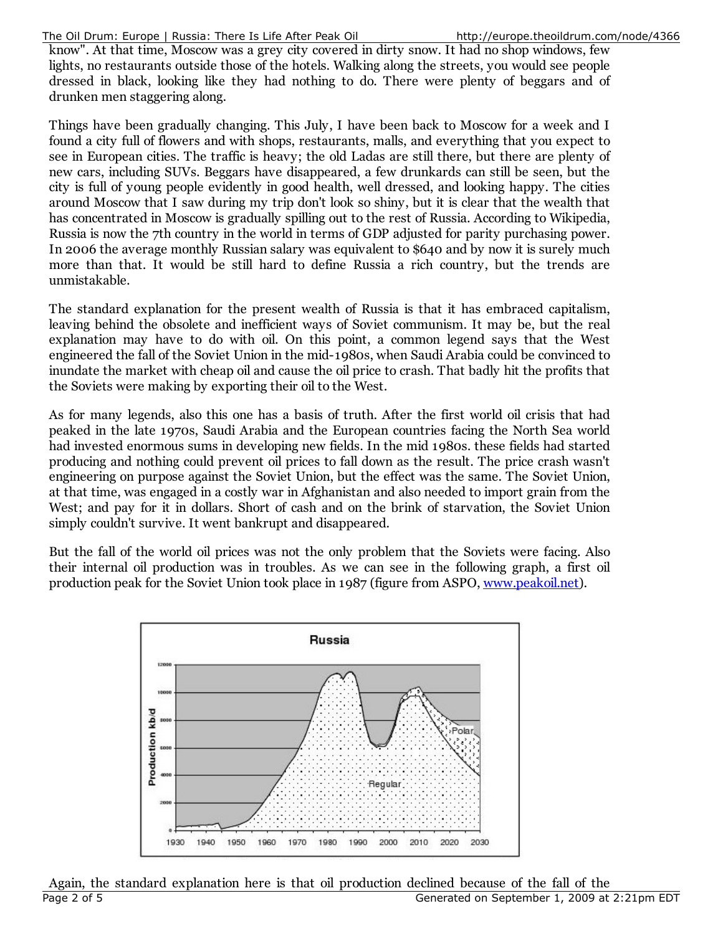know". At that time, Moscow was a grey city covered in dirty snow. It had no shop windows, few lights, no restaurants outside those of the hotels. Walking along the streets, you would see people dressed in black, looking like they had nothing to do. There were plenty of beggars and of drunken men staggering along.

Things have been gradually changing. This July, I have been back to Moscow for a week and I found a city full of flowers and with shops, restaurants, malls, and everything that you expect to see in European cities. The traffic is heavy; the old Ladas are still there, but there are plenty of new cars, including SUVs. Beggars have disappeared, a few drunkards can still be seen, but the city is full of young people evidently in good health, well dressed, and looking happy. The cities around Moscow that I saw during my trip don't look so shiny, but it is clear that the wealth that has concentrated in Moscow is gradually spilling out to the rest of Russia. According to Wikipedia, Russia is now the 7th country in the world in terms of GDP adjusted for parity purchasing power. In 2006 the average monthly Russian salary was equivalent to \$640 and by now it is surely much more than that. It would be still hard to define Russia a rich country, but the trends are unmistakable.

The standard explanation for the present wealth of Russia is that it has embraced capitalism, leaving behind the obsolete and inefficient ways of Soviet communism. It may be, but the real explanation may have to do with oil. On this point, a common legend says that the West engineered the fall of the Soviet Union in the mid-1980s, when Saudi Arabia could be convinced to inundate the market with cheap oil and cause the oil price to crash. That badly hit the profits that the Soviets were making by exporting their oil to the West.

As for many legends, also this one has a basis of truth. After the first world oil crisis that had peaked in the late 1970s, Saudi Arabia and the European countries facing the North Sea world had invested enormous sums in developing new fields. In the mid 1980s. these fields had started producing and nothing could prevent oil prices to fall down as the result. The price crash wasn't engineering on purpose against the Soviet Union, but the effect was the same. The Soviet Union, at that time, was engaged in a costly war in Afghanistan and also needed to import grain from the West; and pay for it in dollars. Short of cash and on the brink of starvation, the Soviet Union simply couldn't survive. It went bankrupt and disappeared.

But the fall of the world oil prices was not the only problem that the Soviets were facing. Also their internal oil production was in troubles. As we can see in the following graph, a first oil production peak for the Soviet Union took place in 1987 (figure from ASPO, www.peakoil.net).



Again, the standard explanation here is that oil production declined because of the fall of the Page 2 of 5 Generated on September 1, 2009 at 2:21pm EDT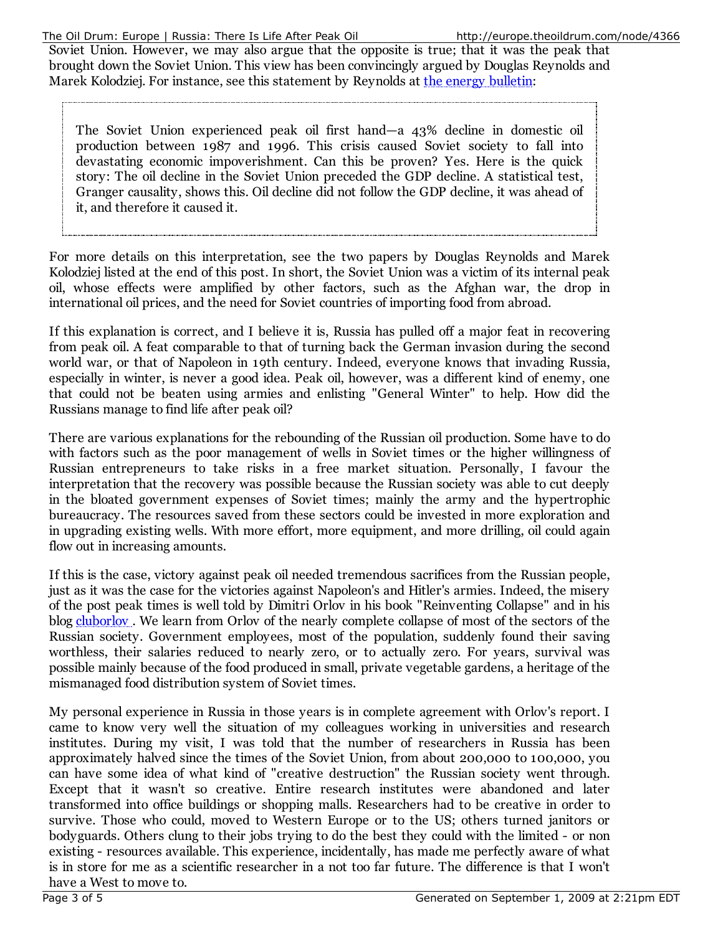Soviet Union. However, we may also argue that the opposite is true; that it was the peak that brought down the Soviet Union. This view has been convincingly argued by Douglas Reynolds and Marek Kolodziej. For instance, see this statement by Reynolds at the energy bulletin:

The Soviet Union experienced peak oil first hand—a 43% decline in domestic oil production between 1987 and 1996. This crisis caused Soviet society to fall into devastating economic impoverishment. Can this be proven? Yes. Here is the quick story: The oil decline in the Soviet Union preceded the GDP decline. A statistical test, Granger causality, shows this. Oil decline did not follow the GDP decline, it was ahead of it, and therefore it caused it.

For more details on this interpretation, see the two papers by Douglas Reynolds and Marek Kolodziej listed at the end of this post. In short, the Soviet Union was a victim of its internal peak oil, whose effects were amplified by other factors, such as the Afghan war, the drop in international oil prices, and the need for Soviet countries of importing food from abroad.

If this explanation is correct, and I believe it is, Russia has pulled off a major feat in recovering from peak oil. A feat comparable to that of turning back the German invasion during the second world war, or that of Napoleon in 19th century. Indeed, everyone knows that invading Russia, especially in winter, is never a good idea. Peak oil, however, was a different kind of enemy, one that could not be beaten using armies and enlisting "General Winter" to help. How did the Russians manage to find life after peak oil?

There are various explanations for the rebounding of the Russian oil production. Some have to do with factors such as the poor management of wells in Soviet times or the higher willingness of Russian entrepreneurs to take risks in a free market situation. Personally, I favour the interpretation that the recovery was possible because the Russian society was able to cut deeply in the bloated government expenses of Soviet times; mainly the army and the hypertrophic bureaucracy. The resources saved from these sectors could be invested in more exploration and in upgrading existing wells. With more effort, more equipment, and more drilling, oil could again flow out in increasing amounts.

If this is the case, victory against peak oil needed tremendous sacrifices from the Russian people, just as it was the case for the victories against Napoleon's and Hitler's armies. Indeed, the misery of the post peak times is well told by Dimitri Orlov in his book "Reinventing Collapse" and in his blog cluborlov. We learn from Orlov of the nearly complete collapse of most of the sectors of the Russian society. Government employees, most of the population, suddenly found their saving worthless, their salaries reduced to nearly zero, or to actually zero. For years, survival was possible mainly because of the food produced in small, private vegetable gardens, a heritage of the mismanaged food distribution system of Soviet times.

My personal experience in Russia in those years is in complete agreement with Orlov's report. I came to know very well the situation of my colleagues working in universities and research institutes. During my visit, I was told that the number of researchers in Russia has been approximately halved since the times of the Soviet Union, from about 200,000 to 100,000, you can have some idea of what kind of "creative destruction" the Russian society went through. Except that it wasn't so creative. Entire research institutes were abandoned and later transformed into office buildings or shopping malls. Researchers had to be creative in order to survive. Those who could, moved to Western Europe or to the US; others turned janitors or bodyguards. Others clung to their jobs trying to do the best they could with the limited - or non existing - resources available. This experience, incidentally, has made me perfectly aware of what is in store for me as a scientific researcher in a not too far future. The difference is that I won't have a West to move to.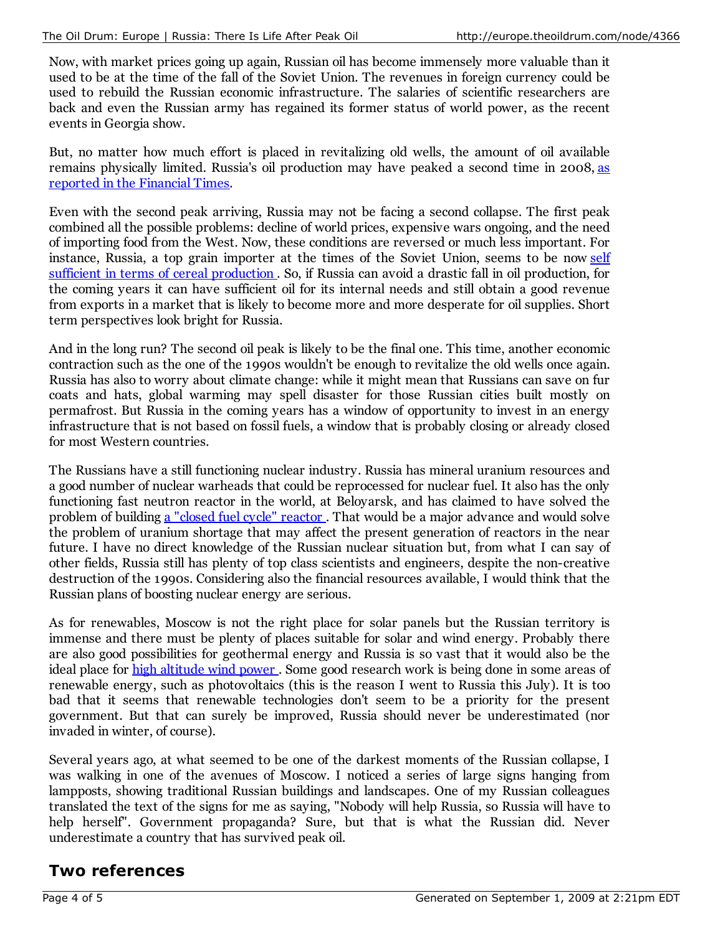Now, with market prices going up again, Russian oil has become immensely more valuable than it used to be at the time of the fall of the Soviet Union. The revenues in foreign currency could be used to rebuild the Russian economic infrastructure. The salaries of scientific researchers are back and even the Russian army has regained its former status of world power, as the recent events in Georgia show.

But, no matter how much effort is placed in revitalizing old wells, the amount of oil available remains physically limited. Russia's oil production may have peaked a second time in 2008, as reported in the Financial Times.

Even with the second peak arriving, Russia may not be facing a second collapse. The first peak combined all the possible problems: decline of world prices, expensive wars ongoing, and the need of importing food from the West. Now, these conditions are reversed or much less important. For instance, Russia, a top grain importer at the times of the Soviet Union, seems to be now self sufficient in terms of cereal production . So, if Russia can avoid a drastic fall in oil production, for the coming years it can have sufficient oil for its internal needs and still obtain a good revenue from exports in a market that is likely to become more and more desperate for oil supplies. Short term perspectives look bright for Russia.

And in the long run? The second oil peak is likely to be the final one. This time, another economic contraction such as the one of the 1990s wouldn't be enough to revitalize the old wells once again. Russia has also to worry about climate change: while it might mean that Russians can save on fur coats and hats, global warming may spell disaster for those Russian cities built mostly on permafrost. But Russia in the coming years has a window of opportunity to invest in an energy infrastructure that is not based on fossil fuels, a window that is probably closing or already closed for most Western countries.

The Russians have a still functioning nuclear industry. Russia has mineral uranium resources and a good number of nuclear warheads that could be reprocessed for nuclear fuel. It also has the only functioning fast neutron reactor in the world, at Beloyarsk, and has claimed to have solved the problem of building a "closed fuel cycle" reactor . That would be a major advance and would solve the problem of uranium shortage that may affect the present generation of reactors in the near future. I have no direct knowledge of the Russian nuclear situation but, from what I can say of other fields, Russia still has plenty of top class scientists and engineers, despite the non-creative destruction of the 1990s. Considering also the financial resources available, I would think that the Russian plans of boosting nuclear energy are serious.

As for renewables, Moscow is not the right place for solar panels but the Russian territory is immense and there must be plenty of places suitable for solar and wind energy. Probably there are also good possibilities for geothermal energy and Russia is so vast that it would also be the ideal place for high altitude wind power . Some good research work is being done in some areas of renewable energy, such as photovoltaics (this is the reason I went to Russia this July). It is too bad that it seems that renewable technologies don't seem to be a priority for the present government. But that can surely be improved, Russia should never be underestimated (nor invaded in winter, of course).

Several years ago, at what seemed to be one of the darkest moments of the Russian collapse, I was walking in one of the avenues of Moscow. I noticed a series of large signs hanging from lampposts, showing traditional Russian buildings and landscapes. One of my Russian colleagues translated the text of the signs for me as saying, "Nobody will help Russia, so Russia will have to help herself". Government propaganda? Sure, but that is what the Russian did. Never underestimate a country that has survived peak oil.

## **Two references**